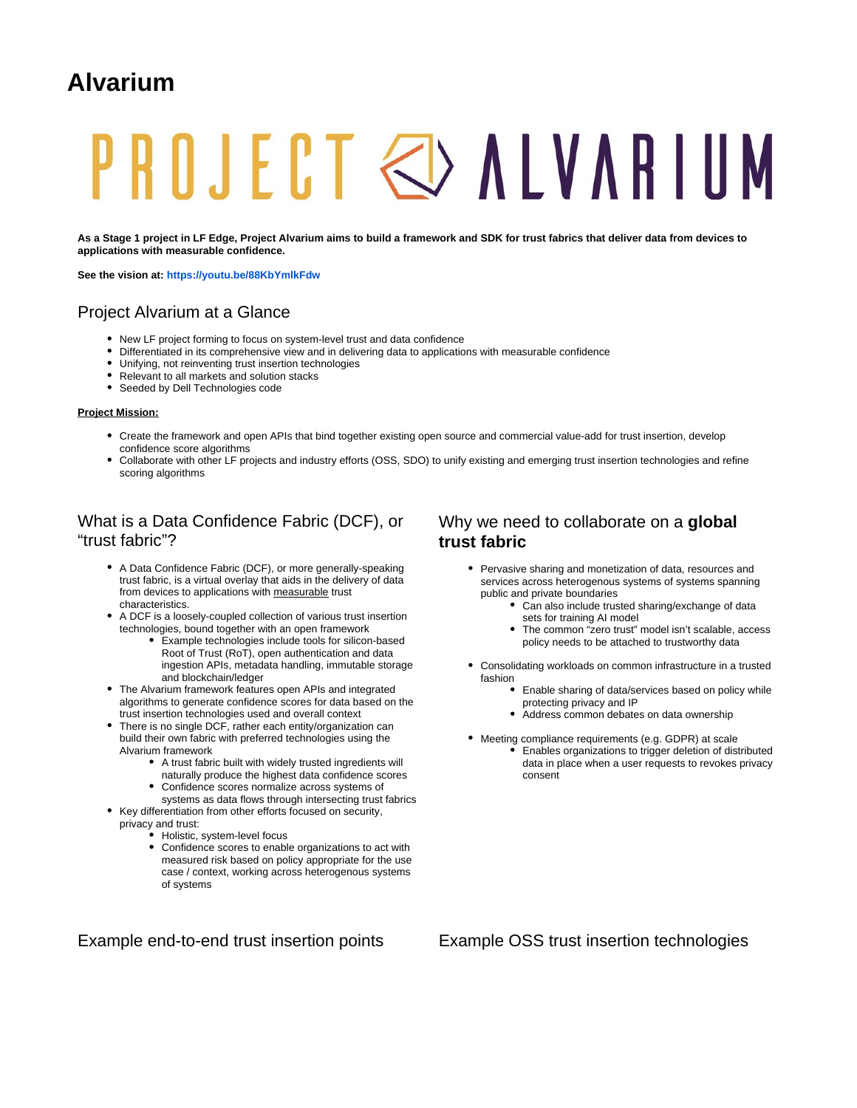## **Alvarium**

# PROJECT & ALVARIUM

**As a Stage 1 project in LF Edge, Project Alvarium aims to build a framework and SDK for trust fabrics that deliver data from devices to applications with measurable confidence.**

**See the vision at:<https://youtu.be/88KbYmlkFdw>**

#### Project Alvarium at a Glance

- New LF project forming to focus on system-level trust and data confidence
- Differentiated in its comprehensive view and in delivering data to applications with measurable confidence
- Unifying, not reinventing trust insertion technologies
- Relevant to all markets and solution stacks
- Seeded by Dell Technologies code

#### **Project Mission:**

- Create the framework and open APIs that bind together existing open source and commercial value-add for trust insertion, develop confidence score algorithms
- Collaborate with other LF projects and industry efforts (OSS, SDO) to unify existing and emerging trust insertion technologies and refine scoring algorithms

#### What is a Data Confidence Fabric (DCF), or "trust fabric"?

- A Data Confidence Fabric (DCF), or more generally-speaking trust fabric, is a virtual overlay that aids in the delivery of data from devices to applications with measurable trust characteristics.
- A DCF is a loosely-coupled collection of various trust insertion technologies, bound together with an open framework
	- Example technologies include tools for silicon-based Root of Trust (RoT), open authentication and data ingestion APIs, metadata handling, immutable storage and blockchain/ledger
- The Alvarium framework features open APIs and integrated algorithms to generate confidence scores for data based on the trust insertion technologies used and overall context
- There is no single DCF, rather each entity/organization can build their own fabric with preferred technologies using the Alvarium framework
	- A trust fabric built with widely trusted ingredients will naturally produce the highest data confidence scores
- Confidence scores normalize across systems of systems as data flows through intersecting trust fabrics • Key differentiation from other efforts focused on security,
	- privacy and trust:
		- Holistic, system-level focus
		- Confidence scores to enable organizations to act with measured risk based on policy appropriate for the use case / context, working across heterogenous systems of systems

#### Why we need to collaborate on a **global trust fabric**

- Pervasive sharing and monetization of data, resources and services across heterogenous systems of systems spanning public and private boundaries
	- Can also include trusted sharing/exchange of data sets for training AI model
	- The common "zero trust" model isn't scalable, access policy needs to be attached to trustworthy data
- Consolidating workloads on common infrastructure in a trusted fashion
	- $\bullet$ Enable sharing of data/services based on policy while protecting privacy and IP
	- Address common debates on data ownership
- Meeting compliance requirements (e.g. GDPR) at scale
	- Enables organizations to trigger deletion of distributed data in place when a user requests to revokes privacy consent

Example end-to-end trust insertion points Example OSS trust insertion technologies